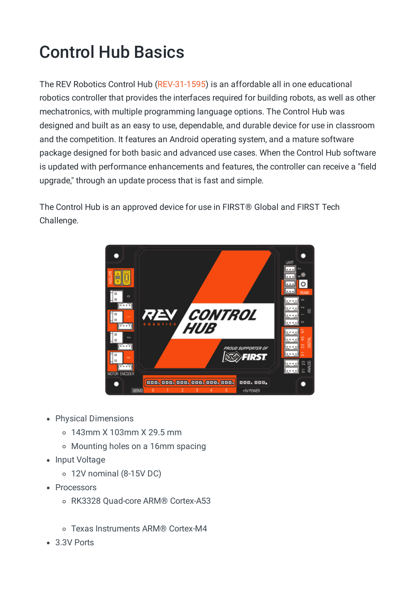## Control Hub Basics

The REV Robotics Control Hub [\(REV-31-1595\)](https://www.revrobotics.com/rev-31-1595/) is an affordable all in one educational robotics controller that provides the interfaces required for building robots, as well as other mechatronics, with multiple programming language options. The Control Hub was designed and built as an easy to use, dependable, and durable device for use in classroom and the competition. It features an Android operating system, and a mature software package designed for both basic and advanced use cases. When the Control Hub software is updated with performance enhancements and features, the controller can receive a "field upgrade," through an update process that is fast and simple.

The Control Hub is an approved device for use in FIRST® Global and FIRST Tech Challenge.



- Physical Dimensions
	- 143mm X 103mm X 29.5 mm
	- Mounting holes on a 16mm spacing
- Input Voltage
	- 12V nominal (8-15V DC)
- Processors
	- RK3328 Quad-core ARM® Cortex-A53
	- Texas Instruments ARM® Cortex-M4
- 3.3V Ports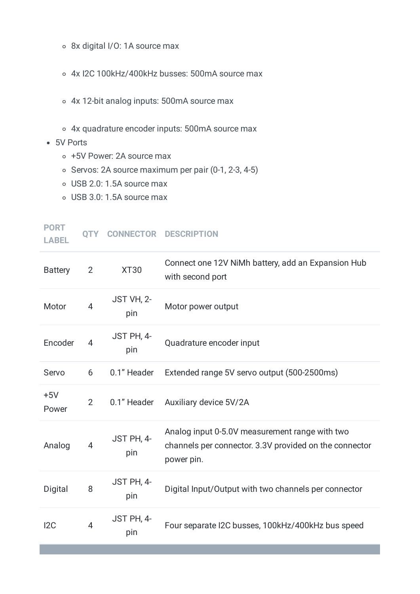- 8x digital I/O: 1A source max
- 4x I2C 100kHz/400kHz busses: 500mA source max
- 4x 12-bit analog inputs: 500mA source max
- 4x quadrature encoder inputs: 500mA source max
- 5V Ports
	- +5V Power: 2A source max
	- $\circ$  Servos: 2A source maximum per pair (0-1, 2-3, 4-5)
	- USB 2.0: 1.5A source max
	- USB 3.0: 1.5A source max

| <b>PORT</b><br><b>LABEL</b> | <b>OTY</b>     |                   | <b>CONNECTOR DESCRIPTION</b>                                                                                           |
|-----------------------------|----------------|-------------------|------------------------------------------------------------------------------------------------------------------------|
| <b>Battery</b>              | $\overline{2}$ | <b>XT30</b>       | Connect one 12V NiMh battery, add an Expansion Hub<br>with second port                                                 |
| Motor                       | $\overline{4}$ | JST VH, 2-<br>pin | Motor power output                                                                                                     |
| Encoder                     | 4              | JST PH, 4-<br>pin | Quadrature encoder input                                                                                               |
| Servo                       | 6              | 0.1" Header       | Extended range 5V servo output (500-2500ms)                                                                            |
| $+5V$<br>Power              | $\overline{2}$ | 0.1" Header       | Auxiliary device 5V/2A                                                                                                 |
| Analog                      | 4              | JST PH, 4-<br>pin | Analog input 0-5.0V measurement range with two<br>channels per connector. 3.3V provided on the connector<br>power pin. |
| Digital                     | 8              | JST PH, 4-<br>pin | Digital Input/Output with two channels per connector                                                                   |
| 12C                         | $\overline{4}$ | JST PH, 4-<br>pin | Four separate I2C busses, 100kHz/400kHz bus speed                                                                      |